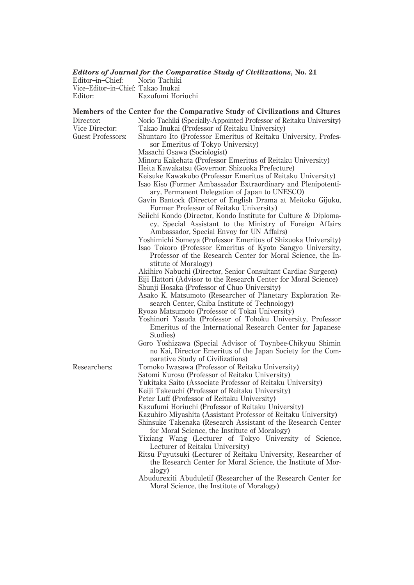## *Editors of Journal for the Comparative Study of Civilizations,* **No. 21**

| Editor-in-Chief:                   | Norio Tachiki     |
|------------------------------------|-------------------|
| Vice-Editor-in-Chief: Takao Inukai |                   |
| Editor:                            | Kazufumi Horiuchi |

## Members of the Center for the Comparative Study of Civilizations and Cltures Director: Norio Tachiki (Specially-Appointed Professor of Reitaku University) Vice Director: Takao Inukai (Professor of Reitaku University) Guest Professors: Shuntaro Ito (Professor Emeritus of Reitaku University, Professor Emeritus of Tokyo University) Masachi Osawa (Sociologist) Minoru Kakehata (Professor Emeritus of Reitaku University) Heita Kawakatsu (Governor, Shizuoka Prefecture) Keisuke Kawakubo (Professor Emeritus of Reitaku University) Isao Kiso (Former Ambassador Extraordinary and Plenipotentiary, Permanent Delegation of Japan to UNESCO) Gavin Bantock (Director of English Drama at Meitoku Gijuku, Former Professor of Reitaku University) Seiichi Kondo (Director, Kondo Institute for Culture & Diplomacy, Special Assistant to the Ministry of Foreign Affairs Ambassador, Special Envoy for UN Affairs) Yoshimichi Someya (Professor Emeritus of Shizuoka University) Isao Tokoro (Professor Emeritus of Kyoto Sangyo University, Professor of the Research Center for Moral Science, the Institute of Moralogy) Akihiro Nabuchi (Director, Senior Consultant Cardiac Surgeon) Eiji Hattori (Advisor to the Research Center for Moral Science) Shunji Hosaka (Professor of Chuo University) Asako K. Matsumoto (Researcher of Planetary Exploration Research Center, Chiba Institute of Technology) Ryozo Matsumoto (Professor of Tokai University) Yoshinori Yasuda (Professor of Tohoku University, Professor Emeritus of the International Research Center for Japanese Studies) Goro Yoshizawa (Special Advisor of Toynbee-Chikyuu Shimin no Kai, Director Emeritus of the Japan Society for the Comparative Study of Civilizations) Researchers: Tomoko Iwasawa (Professor of Reitaku University) Satomi Kurosu (Professor of Reitaku University) Yukitaka Saito (Associate Professor of Reitaku University) Keiji Takeuchi (Professor of Reitaku University) Peter Luff (Professor of Reitaku University) Kazufumi Horiuchi (Professor of Reitaku University) Kazuhiro Miyashita (Assistant Professor of Reitaku University) Shinsuke Takenaka (Research Assistant of the Research Center for Moral Science, the Institute of Moralogy) Yixiang Wang (Lecturer of Tokyo University of Science, Lecturer of Reitaku University) Ritsu Fuyutsuki (Lecturer of Reitaku University, Researcher of the Research Center for Moral Science, the Institute of Moralogy) Abudurexiti Abuduletif (Researcher of the Research Center for Moral Science, the Institute of Moralogy)